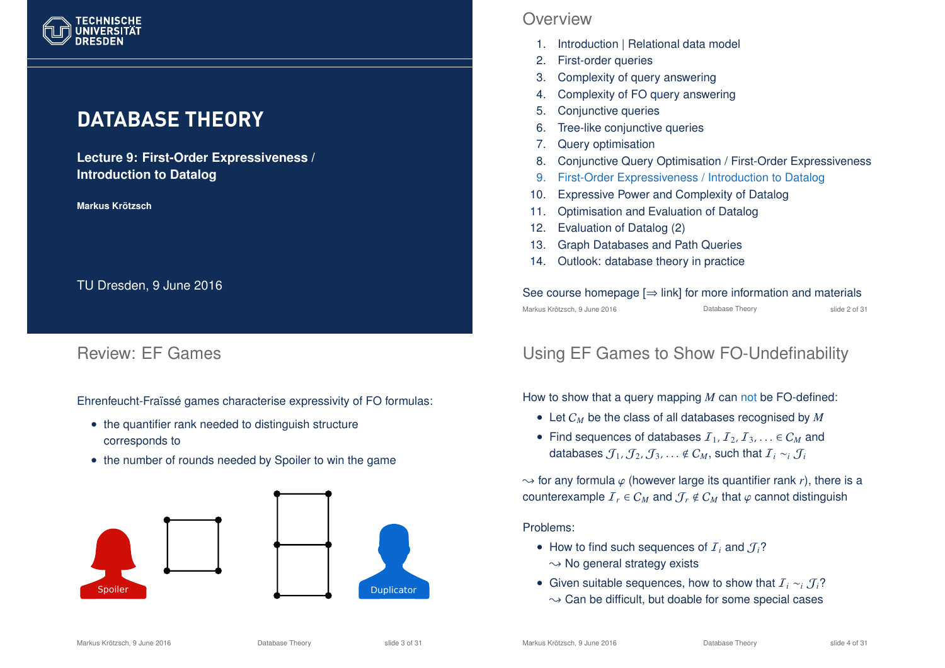

# **DATABASE THEORY**

**Lecture 9: First-Order Expressiveness / Introduction to Datalog**

**Markus Krotzsch ¨**

TU Dresden, 9 June 2016

### Review: EF Games

Ehrenfeucht-Fraïssé games characterise expressivity of FO formulas:

- the quantifier rank needed to distinguish structure corresponds to
- the number of rounds needed by Spoiler to win the game



### **Overview**

- 1. Introduction | Relational data model
- 2. First-order queries
- 3. Complexity of query answering
- 4. Complexity of FO query answering
- 5. Conjunctive queries
- 6. Tree-like conjunctive queries
- 7. Query optimisation
- 8. Conjunctive Query Optimisation / First-Order Expressiveness
- 9. First-Order Expressiveness / Introduction to Datalog
- 10. Expressive Power and Complexity of Datalog
- 11. Optimisation and Evaluation of Datalog
- 12. Evaluation of Datalog (2)
- 13. Graph Databases and Path Queries
- 14. Outlook: database theory in practice

#### See course homepage  $[\Rightarrow$  link] for more information and materials Markus Krötzsch, 9 June 2016 **Database Theory** Chronic Control and Side 2 of 31

## Using EF Games to Show FO-Undefinability

How to show that a query mapping *M* can not be FO-defined:

- Let C*<sup>M</sup>* be the class of all databases recognised by *M*
- Find sequences of databases  $I_1, I_2, I_3, \ldots \in C_M$  and databases  $\mathcal{J}_1, \mathcal{J}_2, \mathcal{J}_3, \ldots \notin \mathcal{C}_M$ , such that  $\mathcal{I}_i \sim_i \mathcal{J}_i$

 $\rightarrow$  for any formula  $\varphi$  (however large its quantifier rank *r*), there is a counterexample  $\mathcal{I}_r \in C_M$  and  $\mathcal{J}_r \notin C_M$  that  $\varphi$  cannot distinguish

#### Problems:

- How to find such sequences of  $I_i$  and  $J_i$ ?
- $\sim$  No general strategy exists
- Given suitable sequences, how to show that I*<sup>i</sup>* ∼*<sup>i</sup>* J*i*?  $\sim$  Can be difficult, but doable for some special cases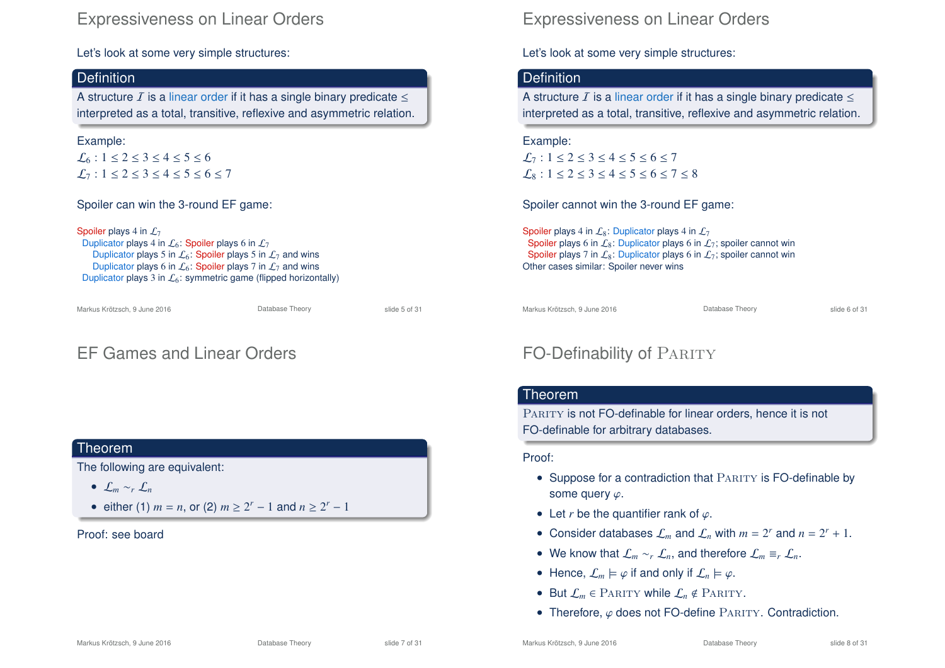### Expressiveness on Linear Orders

Let's look at some very simple structures:

#### **Definition**

A structure  $I$  is a linear order if it has a single binary predicate  $\leq$ interpreted as a total, transitive, reflexive and asymmetric relation.

#### Example:

 $\mathcal{L}_6$ :  $1 \le 2 \le 3 \le 4 \le 5 \le 6$  $L_7$ : 1 < 2 < 3 < 4 < 5 < 6 < 7

Spoiler can win the 3-round EF game:

Spoiler plays 4 in  $\mathcal{L}_7$ Duplicator plays 4 in  $\mathcal{L}_6$ : Spoiler plays 6 in  $\mathcal{L}_7$ Duplicator plays 5 in  $\mathcal{L}_6$ : Spoiler plays 5 in  $\mathcal{L}_7$  and wins Duplicator plays 6 in  $\mathcal{L}_6$ : Spoiler plays 7 in  $\mathcal{L}_7$  and wins Duplicator plays 3 in  $\mathcal{L}_6$ : symmetric game (flipped horizontally)

Markus Krötzsch, 9 June 2016 Database Theory slide 5 of 31

# EF Games and Linear Orders

#### Theorem

The following are equivalent:

- L*<sup>m</sup>* ∼*<sup>r</sup>* L*<sup>n</sup>*
- either (1)  $m = n$ , or (2)  $m \ge 2^r 1$  and  $n \ge 2^r 1$

#### Proof: see board

### Expressiveness on Linear Orders

Let's look at some very simple structures:

#### **Definition**

A structure  $I$  is a linear order if it has a single binary predicate  $\leq$ interpreted as a total, transitive, reflexive and asymmetric relation.

### Example:  $\mathcal{L}_7: 1 \le 2 \le 3 \le 4 \le 5 \le 6 \le 7$  $\mathcal{L}_8$ :  $1 \le 2 \le 3 \le 4 \le 5 \le 6 \le 7 \le 8$

Spoiler cannot win the 3-round EF game:

Spoiler plays 4 in  $\mathcal{L}_8$ : Duplicator plays 4 in  $\mathcal{L}_7$ Spoiler plays 6 in  $\mathcal{L}_8$ : Duplicator plays 6 in  $\mathcal{L}_7$ ; spoiler cannot win Spoiler plays 7 in  $\mathcal{L}_8$ : Duplicator plays 6 in  $\mathcal{L}_7$ ; spoiler cannot win Other cases similar: Spoiler never wins

Markus Krötzsch, 9 June 2016 **Database Theory** Slide 6 of 31

# FO-Definability of PARITY

#### Theorem

PARITY is not FO-definable for linear orders, hence it is not FO-definable for arbitrary databases.

#### Proof:

- Suppose for a contradiction that PARITY is FO-definable by some query  $\varphi$ .
- Let *r* be the quantifier rank of  $\varphi$ .
- Consider databases  $\mathcal{L}_m$  and  $\mathcal{L}_n$  with  $m = 2^r$  and  $n = 2^r + 1$ .
- We know that  $\mathcal{L}_m \sim_r \mathcal{L}_n$ , and therefore  $\mathcal{L}_m \equiv_r \mathcal{L}_n$ .
- Hence,  $\mathcal{L}_m \models \varphi$  if and only if  $\mathcal{L}_n \models \varphi$ .
- But  $\mathcal{L}_m$   $\in$  PARITY while  $\mathcal{L}_n \notin$  PARITY.
- Therefore,  $\varphi$  does not FO-define PARITY. Contradiction.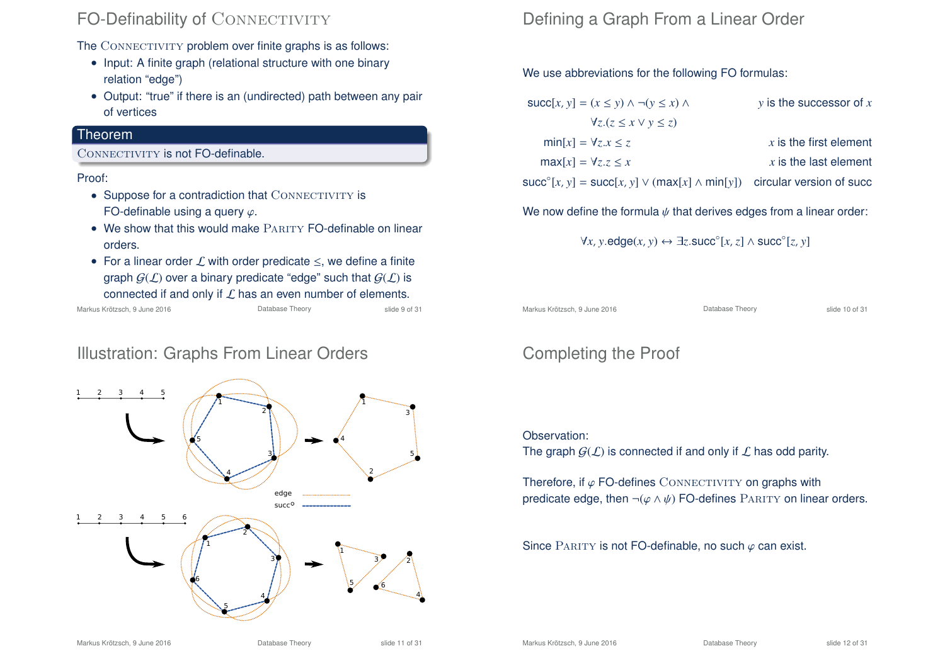## FO-Definability of CONNECTIVITY

The CONNECTIVITY problem over finite graphs is as follows:

- Input: A finite graph (relational structure with one binary relation "edge")
- Output: "true" if there is an (undirected) path between any pair of vertices

### Theorem

#### CONNECTIVITY is not FO-definable.

Proof:

- $\bullet$  Suppose for a contradiction that  $\text{ConvECTIVITY}$  is FO-definable using a query  $\varphi$ .
- We show that this would make PARITY FO-definable on linear orders.
- For a linear order  $L$  with order predicate  $\leq$ , we define a finite graph  $G(\mathcal{L})$  over a binary predicate "edge" such that  $G(\mathcal{L})$  is connected if and only if  $\mathcal L$  has an even number of elements.<br>Krötzsch, 9 June 2016

Markus Krötzsch, 9 June 2016

## Illustration: Graphs From Linear Orders



# Defining a Graph From a Linear Order

We use abbreviations for the following FO formulas:

| $succ[x, y] = (x \le y) \land \neg(y \le x) \land$                                        | $y$ is the successor of $x$ |
|-------------------------------------------------------------------------------------------|-----------------------------|
| $\forall z.(z \leq x \vee y \leq z)$                                                      |                             |
| $min[x] = \forall z.x \leq z$                                                             | $x$ is the first element    |
| $max[x] = \forall z.z \leq x$                                                             | $x$ is the last element     |
| $succ^{\circ}[x, y]$ = succ $[x, y] \vee (max[x] \wedge min[y])$ circular version of succ |                             |
|                                                                                           |                             |

We now define the formula  $\psi$  that derives edges from a linear order:

$$
\forall x, y.\mathsf{edge}(x, y) \leftrightarrow \exists z.\mathsf{succ}^{\circ}[x, z] \land \mathsf{succ}^{\circ}[z, y]
$$

Markus Krötzsch, 9 June 2016 **Database Theory** Slide 10 of 31

# Completing the Proof

#### Observation:

The graph  $G(\mathcal{L})$  is connected if and only if  $\mathcal L$  has odd parity.

Therefore, if  $\varphi$  FO-defines CONNECTIVITY on graphs with predicate edge, then  $\neg(\varphi \land \psi)$  FO-defines PARITY on linear orders.

Since PARITY is not FO-definable, no such  $\varphi$  can exist.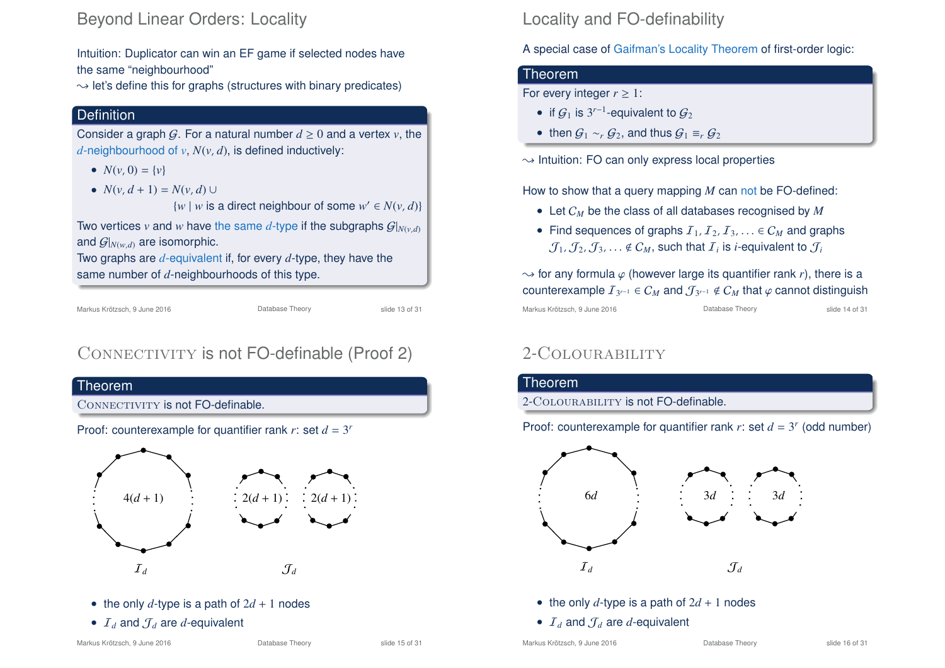### Beyond Linear Orders: Locality

Intuition: Duplicator can win an EF game if selected nodes have the same "neighbourhood"

 $\rightarrow$  let's define this for graphs (structures with binary predicates)

### **Definition**

Consider a graph G. For a natural number  $d \geq 0$  and a vertex  $v$ , the *d*-neighbourhood of *v*, *N*(*v*, *d*), is defined inductively:

- $N(v, 0) = \{v\}$
- $N(v, d + 1) = N(v, d)$

 $\{w \mid w \text{ is a direct neighbour of some } w' \in N(v, d)\}$ 

Two vertices *v* and *w* have the same *d*-type if the subgraphs  $G|_{N(v,d)}$ and  $G|_{N(w,d)}$  are isomorphic.

Two graphs are *d*-equivalent if, for every *d*-type, they have the same number of *d*-neighbourhoods of this type.

Markus Krötzsch, 9 June 2016 Database Theory slide 13 of 31

# CONNECTIVITY is not FO-definable (Proof 2)



- the only  $d$ -type is a path of  $2d + 1$  nodes
- $I_d$  and  $J_d$  are *d*-equivalent

# Locality and FO-definability

A special case of Gaifman's Locality Theorem of first-order logic:

### Theorem

For every integer  $r \geq 1$ :

- if  $\mathcal{G}_1$  is 3<sup>r-1</sup>-equivalent to  $\mathcal{G}_2$
- then  $G_1 \sim r G_2$ , and thus  $G_1 \equiv r G_2$

 $\rightarrow$  Intuition: FO can only express local properties

How to show that a query mapping *M* can not be FO-defined:

- Let C*<sup>M</sup>* be the class of all databases recognised by *M*
- Find sequences of graphs  $I_1, I_2, I_3, \ldots \in C_M$  and graphs  $\mathcal{J}_1$  ,  $\mathcal{J}_2$  ,  $\mathcal{J}_3$  ,  $\ldots$   $\notin$   $C_M$  , such that  ${\mathcal{I}}_i$  is *i*-equivalent to  $\mathcal{J}_i$

 $\rightarrow$  for any formula  $\varphi$  (however large its quantifier rank *r*), there is a  $\mathsf{counterexample}\;I_{3^{r-1}}\in \mathcal{C}_M$  and  $\mathcal{J}_{3^{r-1}}\notin \mathcal{C}_M$  that  $\varphi$  cannot distinguish Markus Krötzsch, 9 June 2016 **Database Theory** Slide 14 of 31

# 2-Colourability



- the only  $d$ -type is a path of  $2d + 1$  nodes
- $I_d$  and  $J_d$  are *d*-equivalent

Markus Krötzsch, 9 June 2016 Database Theory slide 16 of 31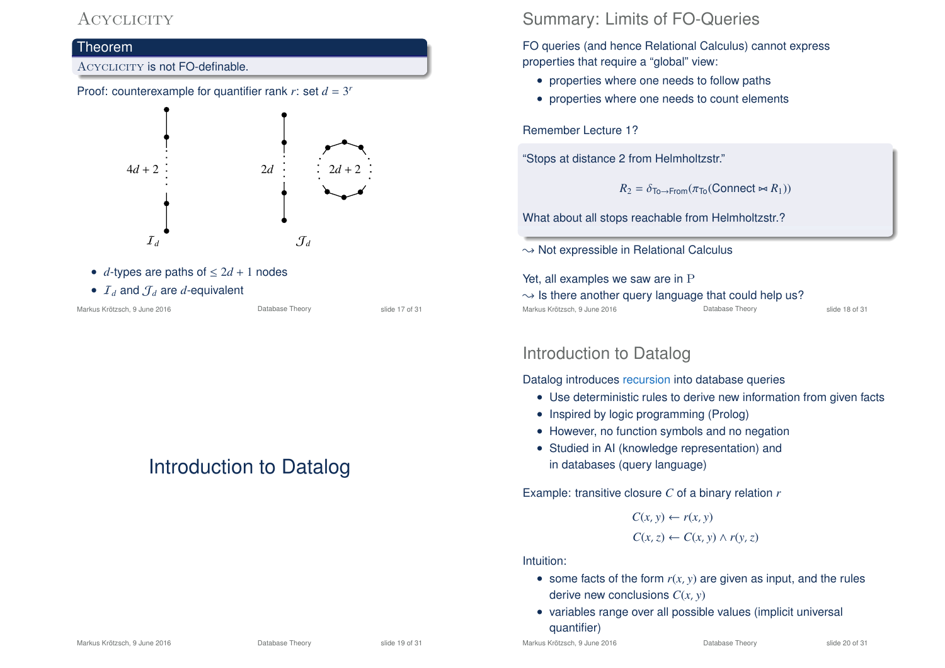### **ACYCLICITY**



•  $I_d$  and  $J_d$  are *d*-equivalent

Markus Krötzsch, 9 June 2016 **Database Theory** Slide 17 of 31

# Introduction to Datalog

## Summary: Limits of FO-Queries

FO queries (and hence Relational Calculus) cannot express properties that require a "global" view:

- properties where one needs to follow paths
- properties where one needs to count elements

Remember Lecture 1?

"Stops at distance 2 from Helmholtzstr."

 $R_2 = \delta_{\text{To}\rightarrow\text{From}}(\pi_{\text{To}}(\text{Connect} \Join R_1))$ 

What about all stops reachable from Helmholtzstr.?

 $\rightarrow$  Not expressible in Relational Calculus

Yet, all examples we saw are in P

 $\rightarrow$  Is there another query language that could help us? Markus Krötzsch, 9 June 2016 Database Theory slide 18 of 31

### Introduction to Datalog

Datalog introduces recursion into database queries

- Use deterministic rules to derive new information from given facts
- Inspired by logic programming (Prolog)
- However, no function symbols and no negation
- Studied in AI (knowledge representation) and in databases (query language)

Example: transitive closure *C* of a binary relation *r*

 $C(x, y) \leftarrow r(x, y)$  $C(x, z) \leftarrow C(x, y) \wedge r(y, z)$ 

#### Intuition:

- some facts of the form  $r(x, y)$  are given as input, and the rules derive new conclusions *C*(*x*, *y*)
- variables range over all possible values (implicit universal quantifier)

Markus Krötzsch, 9 June 2016 Database Theory slide 20 of 31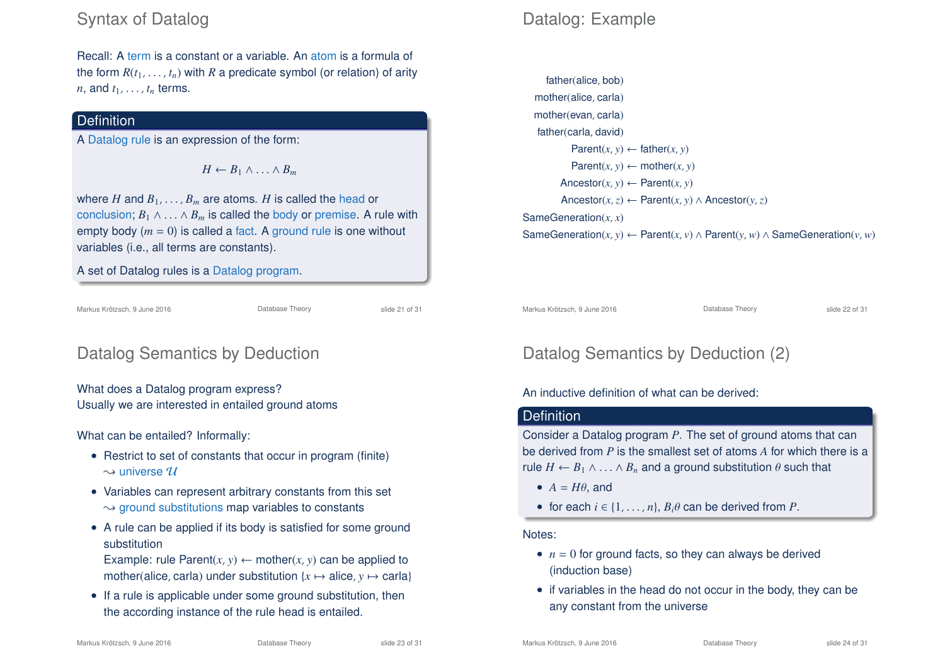## Syntax of Datalog

Recall: A term is a constant or a variable. An atom is a formula of the form  $R(t_1, \ldots, t_n)$  with  $R$  a predicate symbol (or relation) of arity *n*, and  $t_1, \ldots, t_n$  terms.

### **Definition**

A Datalog rule is an expression of the form:

 $H \leftarrow B_1 \wedge \ldots \wedge B_m$ 

where *H* and  $B_1, \ldots, B_m$  are atoms. *H* is called the head or conclusion;  $B_1 \wedge \ldots \wedge B_m$  is called the body or premise. A rule with empty body  $(m = 0)$  is called a fact. A ground rule is one without variables (i.e., all terms are constants).

A set of Datalog rules is a Datalog program.

Markus Krötzsch, 9 June 2016 Database Theory slide 21 of 31

# Datalog Semantics by Deduction

What does a Datalog program express? Usually we are interested in entailed ground atoms

What can be entailed? Informally:

- Restrict to set of constants that occur in program (finite)  $\rightsquigarrow$  universe  $\mathcal U$
- Variables can represent arbitrary constants from this set  $\rightarrow$  ground substitutions map variables to constants
- A rule can be applied if its body is satisfied for some ground substitution

Example: rule Parent $(x, y) \leftarrow \text{mother}(x, y)$  can be applied to mother(alice, carla) under substitution  $\{x \mapsto \text{alice}, y \mapsto \text{carla}\}\$ 

• If a rule is applicable under some ground substitution, then the according instance of the rule head is entailed.

# Datalog: Example

```
father(alice, bob)
  mother(alice, carla)
  mother(evan, carla)
   father(carla, david)
           Parent(x, y) \leftarrow father(x, y)Parent(x, y) \leftarrow mother(x, y)\text{Ancestor}(x, y) \leftarrow \text{Parent}(x, y)Ancestor(x, z) ← Parent(x, y) ∧ Ancestor(y, z)
SameGeneration(x, x)
SameGeneration(x, y) ← Parent(x, y) ∧ Parent(y, w) ∧ SameGeneration(y, w)
```
Markus Krötzsch, 9 June 2016 **Database Theory** Slide 22 of 31

# Datalog Semantics by Deduction (2)

#### An inductive definition of what can be derived:

### **Definition**

Consider a Datalog program *P*. The set of ground atoms that can be derived from *P* is the smallest set of atoms *A* for which there is a rule  $H \leftarrow B_1 \wedge \ldots \wedge B_n$  and a ground substitution  $\theta$  such that

- $A = H\theta$ , and
- for each  $i \in \{1, \ldots, n\}, B_i \theta$  can be derived from P.

#### Notes:

- $\bullet$   $n = 0$  for ground facts, so they can always be derived (induction base)
- if variables in the head do not occur in the body, they can be any constant from the universe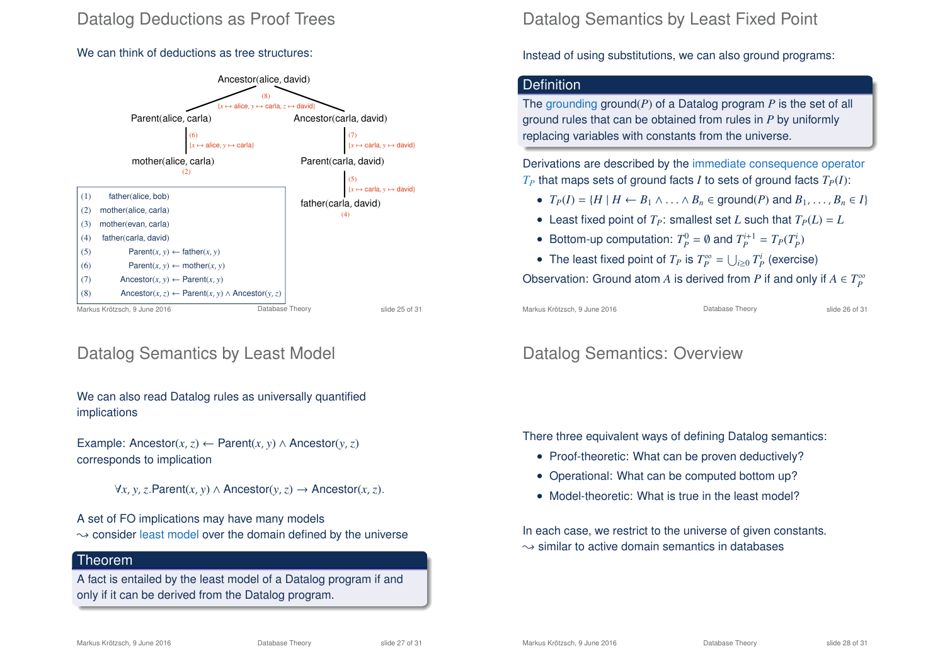## Datalog Deductions as Proof Trees

#### We can think of deductions as tree structures:



### Datalog Semantics by Least Model

We can also read Datalog rules as universally quantified implications

Example: Ancestor(*x*,*z*) ← Parent(*x*, *y*) ∧ Ancestor(*y*, *z*) corresponds to implication

∀*x*, *y*,*z*.Parent(*x*, *y*) ∧ Ancestor(*y*,*z*) → Ancestor(*x*,*z*).

A set of FO implications may have many models  $\rightarrow$  consider least model over the domain defined by the universe

#### Theorem

A fact is entailed by the least model of a Datalog program if and only if it can be derived from the Datalog program.

### Datalog Semantics by Least Fixed Point

Instead of using substitutions, we can also ground programs:

#### **Definition**

The grounding ground(*P*) of a Datalog program *P* is the set of all ground rules that can be obtained from rules in *P* by uniformly replacing variables with constants from the universe.

Derivations are described by the immediate consequence operator  $T_P$  that maps sets of ground facts *I* to sets of ground facts  $T_P(I)$ :

- $T_P(I) = \{H \mid H \leftarrow B_1 \land \ldots \land B_n \in \text{ground}(P) \text{ and } B_1, \ldots, B_n \in I\}$
- Least fixed point of  $T<sub>P</sub>$ : smallest set *L* such that  $T<sub>P</sub>(L) = L$
- Bottom-up computation:  $T_p^0 = \emptyset$  and  $T_p^{i+1} = T_p(T_p^i)$
- The least fixed point of  $T_P$  is  $T_P^{\infty} = \bigcup_{i \geq 0} T_P^i$  (exercise)

Observation: Ground atom  $A$  is derived from  $P$  if and only if  $A \in T_P^\infty$ 

Markus Krötzsch, 9 June 2016 **Database Theory** Slide 26 of 31

### Datalog Semantics: Overview

There three equivalent ways of defining Datalog semantics:

- Proof-theoretic: What can be proven deductively?
- Operational: What can be computed bottom up?
- Model-theoretic: What is true in the least model?

In each case, we restrict to the universe of given constants.  $\rightarrow$  similar to active domain semantics in databases